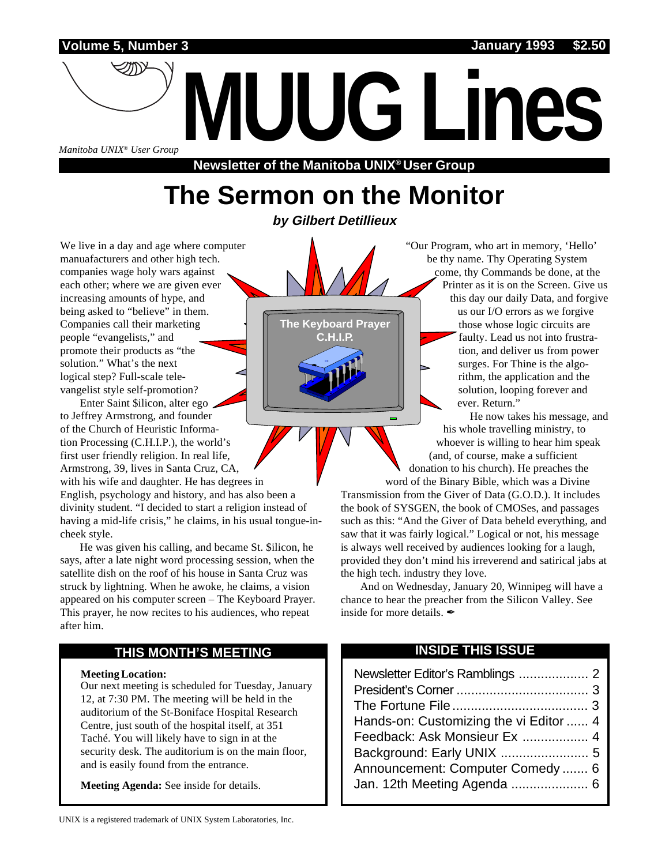**Volume 5, Number 3 January 1993 \$2.50**

*Manitoba UNIX® User Group*

**Newsletter of the Manitoba UNIX® User Group**

**MUUG Lines**

# **The Sermon on the Monitor**

**by Gilbert Detillieux**

We live in a day and age where computer manuafacturers and other high tech. companies wage holy wars against each other; where we are given ever increasing amounts of hype, and being asked to "believe" in them. Companies call their marketing people "evangelists," and promote their products as "the solution." What's the next logical step? Full-scale televangelist style self-promotion?

Enter Saint \$ilicon, alter ego to Jeffrey Armstrong, and founder of the Church of Heuristic Information Processing (C.H.I.P.), the world's first user friendly religion. In real life, Armstrong, 39, lives in Santa Cruz, CA,

with his wife and daughter. He has degrees in English, psychology and history, and has also been a divinity student. "I decided to start a religion instead of having a mid-life crisis," he claims, in his usual tongue-incheek style.

He was given his calling, and became St. \$ilicon, he says, after a late night word processing session, when the satellite dish on the roof of his house in Santa Cruz was struck by lightning. When he awoke, he claims, a vision appeared on his computer screen – The Keyboard Prayer. This prayer, he now recites to his audiences, who repeat after him.

#### **THIS MONTH'S MEETING**

#### **Meeting Location:**

Our next meeting is scheduled for Tuesday, January 12, at 7:30 PM. The meeting will be held in the auditorium of the St-Boniface Hospital Research Centre, just south of the hospital itself, at 351 Taché. You will likely have to sign in at the security desk. The auditorium is on the main floor, and is easily found from the entrance.

**Meeting Agenda:** See inside for details.

**The Keyboard Prayer C.H.I.P.**

"Our Program, who art in memory, 'Hello' be thy name. Thy Operating System come, thy Commands be done, at the Printer as it is on the Screen. Give us this day our daily Data, and forgive us our I/O errors as we forgive those whose logic circuits are faulty. Lead us not into frustration, and deliver us from power surges. For Thine is the algorithm, the application and the solution, looping forever and ever. Return."

He now takes his message, and his whole travelling ministry, to whoever is willing to hear him speak (and, of course, make a sufficient donation to his church). He preaches the word of the Binary Bible, which was a Divine

Transmission from the Giver of Data (G.O.D.). It includes the book of SYSGEN, the book of CMOSes, and passages such as this: "And the Giver of Data beheld everything, and saw that it was fairly logical." Logical or not, his message is always well received by audiences looking for a laugh, provided they don't mind his irreverend and satirical jabs at the high tech. industry they love.

And on Wednesday, January 20, Winnipeg will have a chance to hear the preacher from the Silicon Valley. See inside for more details.  $\mathscr I$ 

#### **INSIDE THIS ISSUE**

| Hands-on: Customizing the vi Editor  4 |
|----------------------------------------|
| Feedback: Ask Monsieur Ex  4           |
|                                        |
| Announcement: Computer Comedy 6        |
|                                        |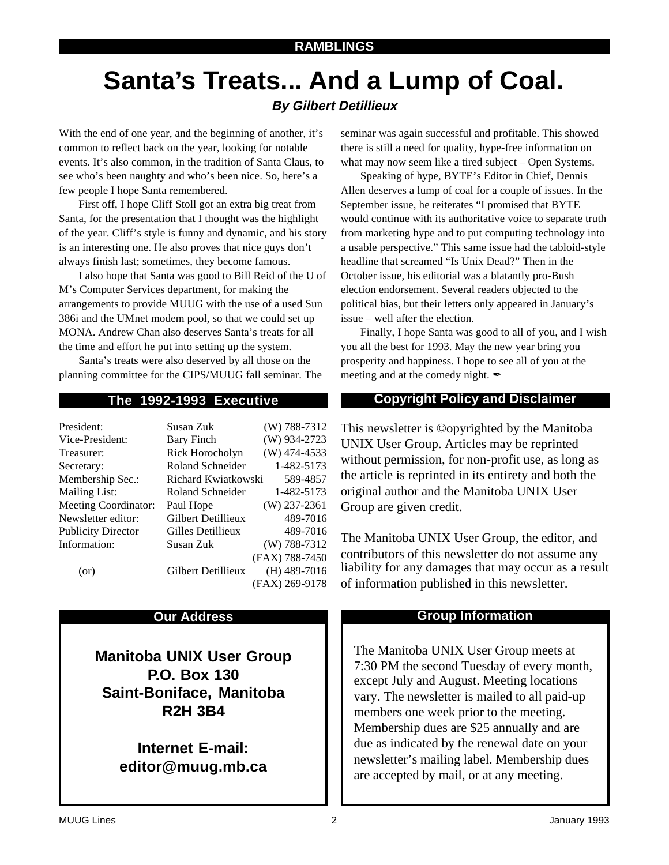# **Santa's Treats... And a Lump of Coal.**

### **By Gilbert Detillieux**

With the end of one year, and the beginning of another, it's common to reflect back on the year, looking for notable events. It's also common, in the tradition of Santa Claus, to see who's been naughty and who's been nice. So, here's a few people I hope Santa remembered.

First off, I hope Cliff Stoll got an extra big treat from Santa, for the presentation that I thought was the highlight of the year. Cliff's style is funny and dynamic, and his story is an interesting one. He also proves that nice guys don't always finish last; sometimes, they become famous.

I also hope that Santa was good to Bill Reid of the U of M's Computer Services department, for making the arrangements to provide MUUG with the use of a used Sun 386i and the UMnet modem pool, so that we could set up MONA. Andrew Chan also deserves Santa's treats for all the time and effort he put into setting up the system.

Santa's treats were also deserved by all those on the planning committee for the CIPS/MUUG fall seminar. The

| President:                  | Susan Zuk           | $(W)$ 788-7312 |
|-----------------------------|---------------------|----------------|
| Vice-President:             | Bary Finch          | $(W)$ 934-2723 |
| Treasurer:                  | Rick Horocholyn     | $(W)$ 474-4533 |
| Secretary:                  | Roland Schneider    | 1-482-5173     |
| Membership Sec.:            | Richard Kwiatkowski | 589-4857       |
| <b>Mailing List:</b>        | Roland Schneider    | 1-482-5173     |
| <b>Meeting Coordinator:</b> | Paul Hope           | $(W)$ 237-2361 |
| Newsletter editor:          | Gilbert Detillieux  | 489-7016       |
| <b>Publicity Director</b>   | Gilles Detillieux   | 489-7016       |
| Information:                | Susan Zuk           | $(W)$ 788-7312 |
|                             |                     | (FAX) 788-7450 |
| (or)                        | Gilbert Detillieux  | $(H)$ 489-7016 |
|                             |                     | (FAX) 269-9178 |

**Manitoba UNIX User Group P.O. Box 130 Saint-Boniface, Manitoba R2H 3B4**

> **Internet E-mail: editor@muug.mb.ca**

seminar was again successful and profitable. This showed there is still a need for quality, hype-free information on what may now seem like a tired subject – Open Systems.

Speaking of hype, BYTE's Editor in Chief, Dennis Allen deserves a lump of coal for a couple of issues. In the September issue, he reiterates "I promised that BYTE would continue with its authoritative voice to separate truth from marketing hype and to put computing technology into a usable perspective." This same issue had the tabloid-style headline that screamed "Is Unix Dead?" Then in the October issue, his editorial was a blatantly pro-Bush election endorsement. Several readers objected to the political bias, but their letters only appeared in January's issue – well after the election.

Finally, I hope Santa was good to all of you, and I wish you all the best for 1993. May the new year bring you prosperity and happiness. I hope to see all of you at the meeting and at the comedy night.  $\mathscr I$ 

#### **The 1992-1993 Executive Copyright Policy and Disclaimer**

This newsletter is ©opyrighted by the Manitoba UNIX User Group. Articles may be reprinted without permission, for non-profit use, as long as the article is reprinted in its entirety and both the original author and the Manitoba UNIX User Group are given credit.

The Manitoba UNIX User Group, the editor, and contributors of this newsletter do not assume any liability for any damages that may occur as a result of information published in this newsletter.

#### **Our Address Community Community Community Community Community Community Community Community Community Community Community Community Community Community Community Community Community Community Community Community Community**

The Manitoba UNIX User Group meets at 7:30 PM the second Tuesday of every month, except July and August. Meeting locations vary. The newsletter is mailed to all paid-up members one week prior to the meeting. Membership dues are \$25 annually and are due as indicated by the renewal date on your newsletter's mailing label. Membership dues are accepted by mail, or at any meeting.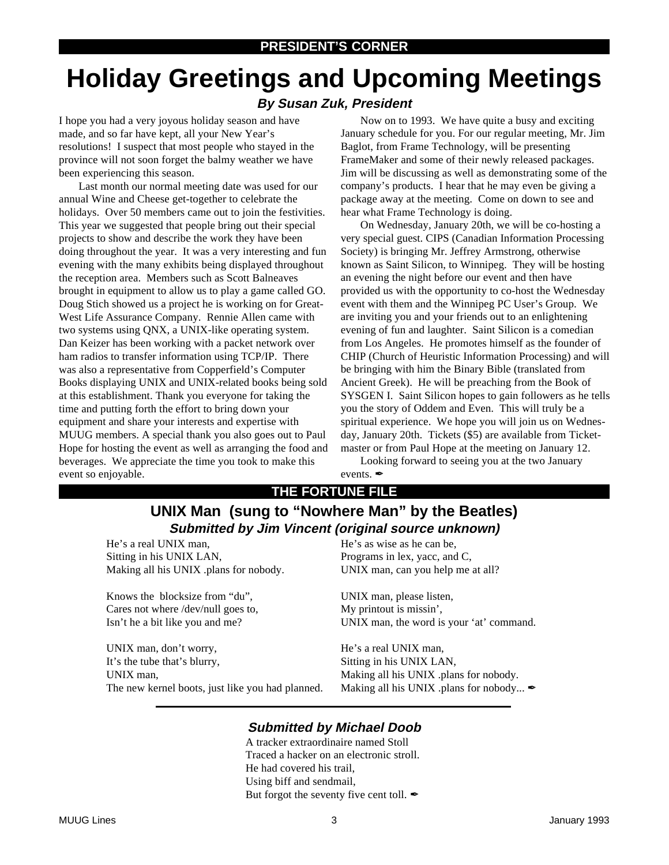# **Holiday Greetings and Upcoming Meetings**

#### **By Susan Zuk, President**

I hope you had a very joyous holiday season and have made, and so far have kept, all your New Year's resolutions! I suspect that most people who stayed in the province will not soon forget the balmy weather we have been experiencing this season.

Last month our normal meeting date was used for our annual Wine and Cheese get-together to celebrate the holidays. Over 50 members came out to join the festivities. This year we suggested that people bring out their special projects to show and describe the work they have been doing throughout the year. It was a very interesting and fun evening with the many exhibits being displayed throughout the reception area. Members such as Scott Balneaves brought in equipment to allow us to play a game called GO. Doug Stich showed us a project he is working on for Great-West Life Assurance Company. Rennie Allen came with two systems using QNX, a UNIX-like operating system. Dan Keizer has been working with a packet network over ham radios to transfer information using TCP/IP. There was also a representative from Copperfield's Computer Books displaying UNIX and UNIX-related books being sold at this establishment. Thank you everyone for taking the time and putting forth the effort to bring down your equipment and share your interests and expertise with MUUG members. A special thank you also goes out to Paul Hope for hosting the event as well as arranging the food and beverages. We appreciate the time you took to make this event so enjoyable.

Now on to 1993. We have quite a busy and exciting January schedule for you. For our regular meeting, Mr. Jim Baglot, from Frame Technology, will be presenting FrameMaker and some of their newly released packages. Jim will be discussing as well as demonstrating some of the company's products. I hear that he may even be giving a package away at the meeting. Come on down to see and hear what Frame Technology is doing.

On Wednesday, January 20th, we will be co-hosting a very special guest. CIPS (Canadian Information Processing Society) is bringing Mr. Jeffrey Armstrong, otherwise known as Saint Silicon, to Winnipeg. They will be hosting an evening the night before our event and then have provided us with the opportunity to co-host the Wednesday event with them and the Winnipeg PC User's Group. We are inviting you and your friends out to an enlightening evening of fun and laughter. Saint Silicon is a comedian from Los Angeles. He promotes himself as the founder of CHIP (Church of Heuristic Information Processing) and will be bringing with him the Binary Bible (translated from Ancient Greek). He will be preaching from the Book of SYSGEN I. Saint Silicon hopes to gain followers as he tells you the story of Oddem and Even. This will truly be a spiritual experience. We hope you will join us on Wednesday, January 20th. Tickets (\$5) are available from Ticketmaster or from Paul Hope at the meeting on January 12.

Looking forward to seeing you at the two January events.

#### **THE FORTUNE FILE**

### **UNIX Man (sung to "Nowhere Man" by the Beatles) Submitted by Jim Vincent (original source unknown)**

He's a real UNIX man, Sitting in his UNIX LAN, Making all his UNIX .plans for nobody.

Knows the blocksize from "du", Cares not where /dev/null goes to, Isn't he a bit like you and me?

UNIX man, don't worry, It's the tube that's blurry, UNIX man, The new kernel boots, just like you had planned. He's as wise as he can be, Programs in lex, yacc, and C, UNIX man, can you help me at all?

UNIX man, please listen, My printout is missin', UNIX man, the word is your 'at' command.

He's a real UNIX man, Sitting in his UNIX LAN, Making all his UNIX .plans for nobody. Making all his UNIX .plans for nobody...  $\mathscr{I}$ 

#### **Submitted by Michael Doob**

A tracker extraordinaire named Stoll Traced a hacker on an electronic stroll. He had covered his trail, Using biff and sendmail, But forgot the seventy five cent toll.  $\mathscr{I}$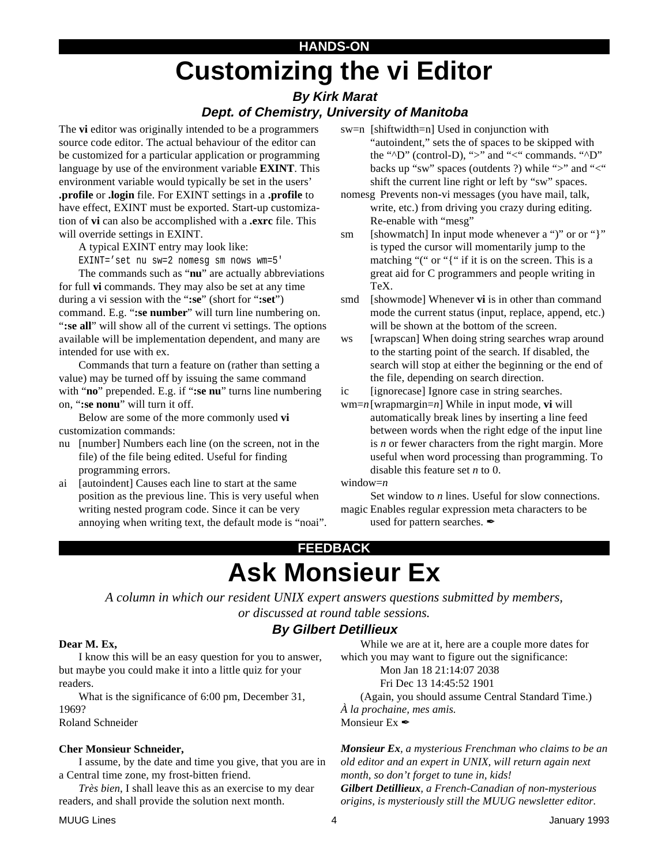# **Customizing the vi Editor HANDS-ON**

#### **By Kirk Marat Dept. of Chemistry, University of Manitoba**

The **vi** editor was originally intended to be a programmers source code editor. The actual behaviour of the editor can be customized for a particular application or programming language by use of the environment variable **EXINT**. This environment variable would typically be set in the users' **.profile** or **.login** file. For EXINT settings in a **.profile** to have effect, EXINT must be exported. Start-up customization of **vi** can also be accomplished with a **.exrc** file. This will override settings in EXINT.

A typical EXINT entry may look like: EXINT='set nu sw=2 nomesg sm nows wm=5'

The commands such as "**nu**" are actually abbreviations for full **vi** commands. They may also be set at any time during a vi session with the "**:se**" (short for "**:set**") command. E.g. "**:se number**" will turn line numbering on. "**:se all**" will show all of the current vi settings. The options available will be implementation dependent, and many are intended for use with ex.

Commands that turn a feature on (rather than setting a value) may be turned off by issuing the same command with "**no**" prepended. E.g. if "**:se nu**" turns line numbering on, "**:se nonu**" will turn it off.

Below are some of the more commonly used **vi** customization commands:

- nu [number] Numbers each line (on the screen, not in the file) of the file being edited. Useful for finding programming errors.
- ai [autoindent] Causes each line to start at the same position as the previous line. This is very useful when writing nested program code. Since it can be very annoying when writing text, the default mode is "noai".
- sw=n [shiftwidth=n] Used in conjunction with "autoindent," sets the of spaces to be skipped with the "^D" (control-D), ">" and "<" commands. "^D" backs up "sw" spaces (outdents ?) while ">" and "<" shift the current line right or left by "sw" spaces.
- nomesg Prevents non-vi messages (you have mail, talk, write, etc.) from driving you crazy during editing. Re-enable with "mesg"

sm [showmatch] In input mode whenever a ")" or or "}" is typed the cursor will momentarily jump to the matching "(" or "{" if it is on the screen. This is a great aid for C programmers and people writing in TeX.

smd [showmode] Whenever **vi** is in other than command mode the current status (input, replace, append, etc.) will be shown at the bottom of the screen.

ws [wrapscan] When doing string searches wrap around to the starting point of the search. If disabled, the search will stop at either the beginning or the end of the file, depending on search direction.

ic [ignorecase] Ignore case in string searches.

wm=*n*[wrapmargin=*n*] While in input mode, **vi** will automatically break lines by inserting a line feed between words when the right edge of the input line is *n* or fewer characters from the right margin. More useful when word processing than programming. To disable this feature set *n* to 0.

window=*n*

Set window to *n* lines. Useful for slow connections. magic Enables regular expression meta characters to be used for pattern searches.  $\mathscr I$ 

## **FEEDBACK Ask Monsieur Ex**

*A column in which our resident UNIX expert answers questions submitted by members, or discussed at round table sessions.*

### **By Gilbert Detillieux**

#### **Dear M. Ex,**

I know this will be an easy question for you to answer, but maybe you could make it into a little quiz for your readers.

What is the significance of 6:00 pm, December 31, 1969?

#### Roland Schneider

#### **Cher Monsieur Schneider,**

I assume, by the date and time you give, that you are in a Central time zone, my frost-bitten friend.

*Très bien*, I shall leave this as an exercise to my dear readers, and shall provide the solution next month.

While we are at it, here are a couple more dates for which you may want to figure out the significance:

Mon Jan 18 21:14:07 2038

Fri Dec 13 14:45:52 1901

(Again, you should assume Central Standard Time.) *À la prochaine, mes amis.*

Monsieur Ex  $\mathscr{I}$ 

*Monsieur Ex, a mysterious Frenchman who claims to be an old editor and an expert in UNIX, will return again next month, so don't forget to tune in, kids! Gilbert Detillieux, a French-Canadian of non-mysterious origins, is mysteriously still the MUUG newsletter editor.*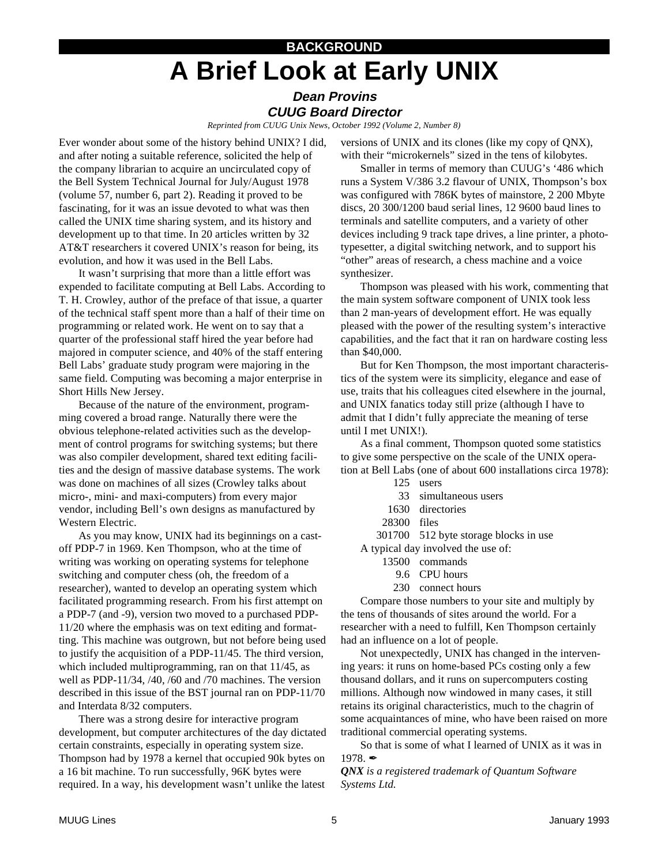# **BACKGROUND A Brief Look at Early UNIX**

#### **Dean Provins CUUG Board Director**

*Reprinted from CUUG Unix News, October 1992 (Volume 2, Number 8)*

Ever wonder about some of the history behind UNIX? I did, and after noting a suitable reference, solicited the help of the company librarian to acquire an uncirculated copy of the Bell System Technical Journal for July/August 1978 (volume 57, number 6, part 2). Reading it proved to be fascinating, for it was an issue devoted to what was then called the UNIX time sharing system, and its history and development up to that time. In 20 articles written by 32 AT&T researchers it covered UNIX's reason for being, its evolution, and how it was used in the Bell Labs.

It wasn't surprising that more than a little effort was expended to facilitate computing at Bell Labs. According to T. H. Crowley, author of the preface of that issue, a quarter of the technical staff spent more than a half of their time on programming or related work. He went on to say that a quarter of the professional staff hired the year before had majored in computer science, and 40% of the staff entering Bell Labs' graduate study program were majoring in the same field. Computing was becoming a major enterprise in Short Hills New Jersey.

Because of the nature of the environment, programming covered a broad range. Naturally there were the obvious telephone-related activities such as the development of control programs for switching systems; but there was also compiler development, shared text editing facilities and the design of massive database systems. The work was done on machines of all sizes (Crowley talks about micro-, mini- and maxi-computers) from every major vendor, including Bell's own designs as manufactured by Western Electric.

As you may know, UNIX had its beginnings on a castoff PDP-7 in 1969. Ken Thompson, who at the time of writing was working on operating systems for telephone switching and computer chess (oh, the freedom of a researcher), wanted to develop an operating system which facilitated programming research. From his first attempt on a PDP-7 (and -9), version two moved to a purchased PDP-11/20 where the emphasis was on text editing and formatting. This machine was outgrown, but not before being used to justify the acquisition of a PDP-11/45. The third version, which included multiprogramming, ran on that 11/45, as well as PDP-11/34, /40, /60 and /70 machines. The version described in this issue of the BST journal ran on PDP-11/70 and Interdata 8/32 computers.

There was a strong desire for interactive program development, but computer architectures of the day dictated certain constraints, especially in operating system size. Thompson had by 1978 a kernel that occupied 90k bytes on a 16 bit machine. To run successfully, 96K bytes were required. In a way, his development wasn't unlike the latest

versions of UNIX and its clones (like my copy of QNX), with their "microkernels" sized in the tens of kilobytes.

Smaller in terms of memory than CUUG's '486 which runs a System V/386 3.2 flavour of UNIX, Thompson's box was configured with 786K bytes of mainstore, 2 200 Mbyte discs, 20 300/1200 baud serial lines, 12 9600 baud lines to terminals and satellite computers, and a variety of other devices including 9 track tape drives, a line printer, a phototypesetter, a digital switching network, and to support his "other" areas of research, a chess machine and a voice synthesizer.

Thompson was pleased with his work, commenting that the main system software component of UNIX took less than 2 man-years of development effort. He was equally pleased with the power of the resulting system's interactive capabilities, and the fact that it ran on hardware costing less than \$40,000.

But for Ken Thompson, the most important characteristics of the system were its simplicity, elegance and ease of use, traits that his colleagues cited elsewhere in the journal, and UNIX fanatics today still prize (although I have to admit that I didn't fully appreciate the meaning of terse until I met UNIX!).

As a final comment, Thompson quoted some statistics to give some perspective on the scale of the UNIX operation at Bell Labs (one of about 600 installations circa 1978):

- 125 users
- 33 simultaneous users
- 1630 directories
- 28300 files
- 301700 512 byte storage blocks in use

A typical day involved the use of:

- 13500 commands
- 9.6 CPU hours
- 230 connect hours

Compare those numbers to your site and multiply by the tens of thousands of sites around the world. For a researcher with a need to fulfill, Ken Thompson certainly had an influence on a lot of people.

Not unexpectedly, UNIX has changed in the intervening years: it runs on home-based PCs costing only a few thousand dollars, and it runs on supercomputers costing millions. Although now windowed in many cases, it still retains its original characteristics, much to the chagrin of some acquaintances of mine, who have been raised on more traditional commercial operating systems.

So that is some of what I learned of UNIX as it was in 1978. $\hat{Z}$ 

*QNX is a registered trademark of Quantum Software Systems Ltd.*